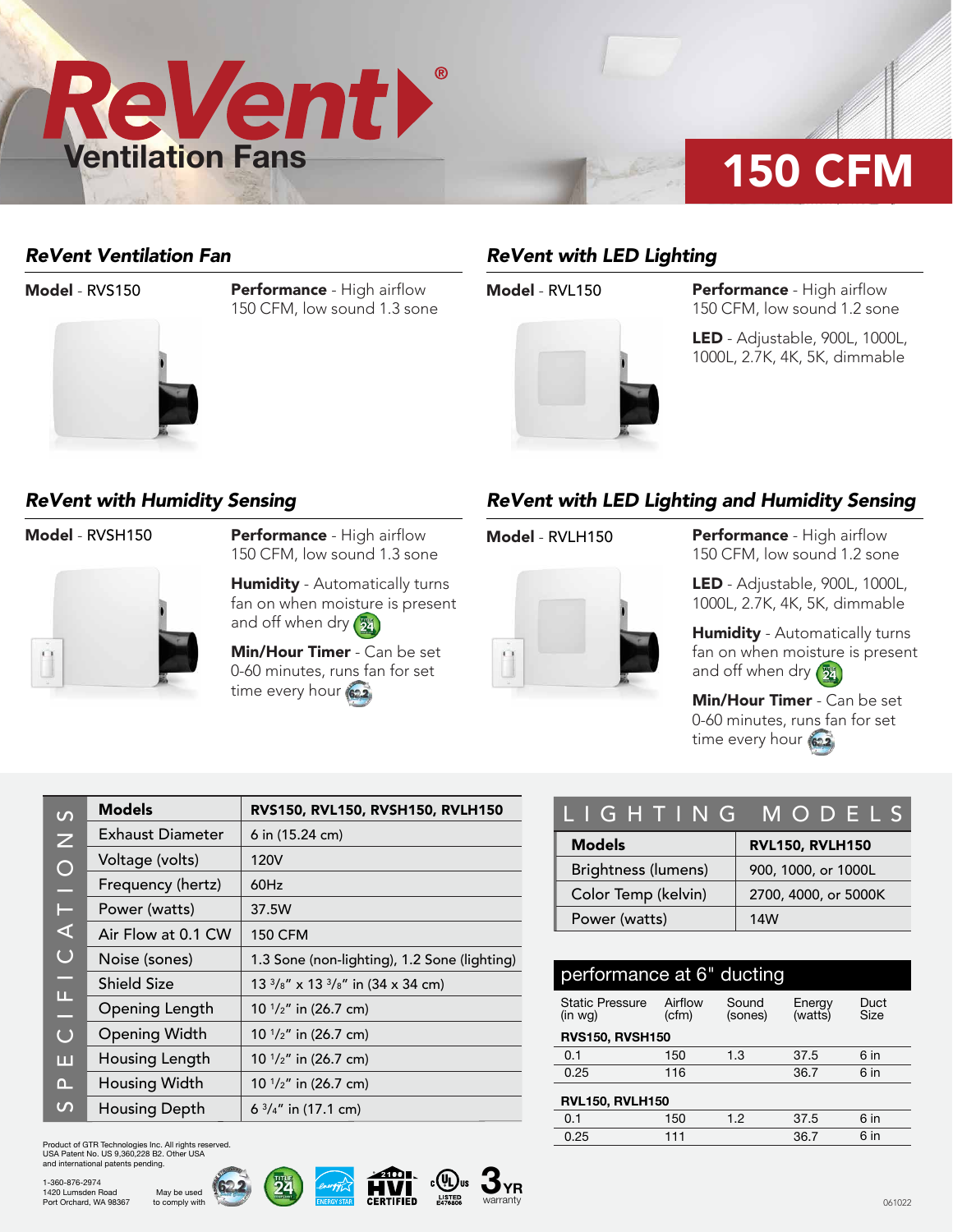

### *ReVent Ventilation Fan*



**Model - RVS150 Performance - High airflow** 150 CFM, low sound 1.3 sone

# *ReVent with LED Lighting*



**Model - RVL150 Performance - High airflow** 150 CFM, low sound 1.2 sone

> LED - Adjustable, 900L, 1000L, 1000L, 2.7K, 4K, 5K, dimmable

### *ReVent with Humidity Sensing*



Model - RVSH150 Performance - High airflow 150 CFM, low sound 1.3 sone

> **Humidity** - Automatically turns fan on when moisture is present and off when dry  $(\frac{m}{24})$

Min/Hour Timer - Can be set 0-60 minutes, runs fan for set time every hour (622)

## *ReVent with LED Lighting and Humidity Sensing*



**Model - RVLH150 Performance - High airflow** 150 CFM, low sound 1.2 sone

> LED - Adjustable, 900L, 1000L, 1000L, 2.7K, 4K, 5K, dimmable

Humidity - Automatically turns fan on when moisture is present and off when dry  $\left(\frac{m}{24}\right)$ 

Min/Hour Timer - Can be set 0-60 minutes, runs fan for set time every hour (622)

| $\Omega$                  | <b>Models</b>        | RVS150, RVL150, RVSH150, RVLH150                       |
|---------------------------|----------------------|--------------------------------------------------------|
| Z                         | Exhaust Diameter     | 6 in (15.24 cm)                                        |
| $\bigcirc$                | Voltage (volts)      | 120V                                                   |
| e                         | Frequency (hertz)    | 60Hz                                                   |
| Н                         | Power (watts)        | 37.5W                                                  |
| ⋖                         | Air Flow at 0.1 CW   | <b>150 CFM</b>                                         |
| $\bigcup$                 | Noise (sones)        | 1.3 Sone (non-lighting), 1.2 Sone (lighting)           |
| ÷                         | <b>Shield Size</b>   | $13\frac{3}{8}$ " x 13 $\frac{3}{8}$ " in (34 x 34 cm) |
| $\boldsymbol{\Phi}$<br>L, | Opening Length       | 10 $1/z''$ in (26.7 cm)                                |
| $\bigcup$                 | <b>Opening Width</b> | 10 $1/z''$ in (26.7 cm)                                |
| ш                         | Housing Length       | 10 $1/z''$ in (26.7 cm)                                |
| $\Omega$                  | Housing Width        | 10 $1/z''$ in (26.7 cm)                                |
| $\mathcal{L}$             | <b>Housing Depth</b> | 6 $\frac{3}{4}$ " in (17.1 cm)                         |

Product of GTR Technologies Inc. All rights reserved. USA Patent No. US 9,360,228 B2. Other USA and international patents pending.

> May be used to comply with









| LIGHTING MODELS            |                        |  |  |  |  |
|----------------------------|------------------------|--|--|--|--|
| <b>Models</b>              | <b>RVL150, RVLH150</b> |  |  |  |  |
| <b>Brightness (lumens)</b> | 900, 1000, or 1000L    |  |  |  |  |
| Color Temp (kelvin)        | 2700, 4000, or 5000K   |  |  |  |  |
| Power (watts)              | 14W                    |  |  |  |  |

| performance at 6" ducting         |                  |                  |                   |              |  |  |  |  |
|-----------------------------------|------------------|------------------|-------------------|--------------|--|--|--|--|
| <b>Static Pressure</b><br>(in wq) | Airflow<br>(cfm) | Sound<br>(sones) | Energy<br>(watts) | Duct<br>Size |  |  |  |  |
| <b>RVS150, RVSH150</b>            |                  |                  |                   |              |  |  |  |  |
| 0.1                               | 150              | 1.3              | 37.5              | 6 in         |  |  |  |  |
| 0.25                              | 116              |                  | 36.7              | 6 in         |  |  |  |  |
| <b>RVL150, RVLH150</b>            |                  |                  |                   |              |  |  |  |  |
| 0.1                               | 150              | 1.2              | 37.5              | 6 in         |  |  |  |  |
| 0.25                              | 111              |                  | 36.7              | 6 in         |  |  |  |  |